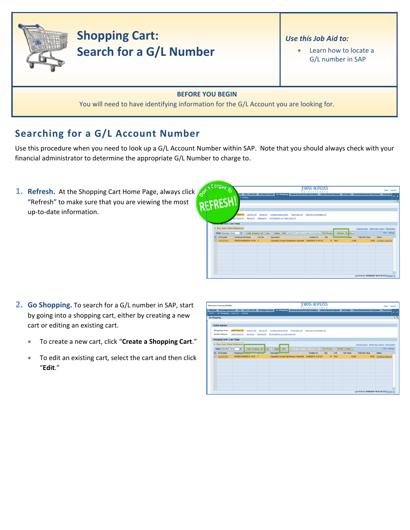

## **Shopping Cart: Search for a G/L Number**

## *Use this Job Aid to:*

• Learn how to locate a G/L number in SAP

## **BEFORE YOU BEGIN**

You will need to have identifying information for the G/L Account you are looking for.

## **Searching for a G/L Account Number**

Use this procedure when you need to look up a G/L Account Number within SAP. Note that you should always check with your financial administrator to determine the appropriate G/L Number to charge to.

**1. Refresh.** At the Shopping Cart Home Page, always click "Refresh" to make sure that you are viewing the most up‐to‐date information.

| <b>AGISSI TO</b>                    |                                                                                                                                                             |                           |                                  |                | OHNS HOP                                                                   |      |        |                  |                        | Help   Log.off                                   |
|-------------------------------------|-------------------------------------------------------------------------------------------------------------------------------------------------------------|---------------------------|----------------------------------|----------------|----------------------------------------------------------------------------|------|--------|------------------|------------------------|--------------------------------------------------|
| PIEFRESHI                           | ECC ECC - MAC OS BW Report Center Go Shopping Internal Service Provider Ordering Online Payment Request ECC Inbox Travel Reinbursement Requester Travel Adm |                           |                                  |                | <b>XXXIII</b>                                                              |      |        |                  |                        |                                                  |
|                                     | Settings                                                                                                                                                    |                           |                                  |                |                                                                            |      |        |                  |                        |                                                  |
|                                     |                                                                                                                                                             |                           |                                  |                |                                                                            |      |        |                  |                        | гE                                               |
|                                     |                                                                                                                                                             |                           |                                  |                |                                                                            |      |        |                  |                        |                                                  |
|                                     | Cart No. (0)<br>Days (1)                                                                                                                                    | Saved (9)                 | Awating Approval (0)             | Team Carts (0) | Open for Confirmation (0)                                                  |      |        |                  |                        |                                                  |
|                                     | Saved (9)<br>4.7 Days (0)                                                                                                                                   | Deteted (Q)               | Confirmations for Team Carts (0) |                |                                                                            |      |        |                  |                        |                                                  |
| <b>Registry Carts - Last 7 Days</b> |                                                                                                                                                             |                           |                                  |                |                                                                            |      |        |                  |                        |                                                  |
| > Show Quick Criteria Maintenance   |                                                                                                                                                             |                           |                                  |                |                                                                            |      |        |                  |                        | Change Query Define New Query Personalize        |
| View [Standard View]                | 同                                                                                                                                                           | Create Shopping Cart Copy |                                  |                | <b>Display Edit</b> Delete     Order   Create Confirmation   Print Preview |      |        | Refresh Ex ort a |                        | <b>Fiter Settings</b>                            |
| <b>EG</b> SC Number                 | <b>Shopping Cart Name</b>                                                                                                                                   | Line No.                  | Description                      |                | <b>Created On</b>                                                          | City |        |                  | <b>Total Net Value</b> | Status                                           |
| 1001077454                          | UPUR29 04/08/2010 14:34 1                                                                                                                                   |                           |                                  |                | Crayola(R) Conical Tip Markers, Assorted 04/08/2010 15:01:03               |      | 15 PAC | 12.60            |                        | 12.60 Awaling Approval                           |
|                                     |                                                                                                                                                             |                           |                                  |                |                                                                            |      |        |                  |                        |                                                  |
|                                     |                                                                                                                                                             |                           |                                  |                |                                                                            |      |        |                  |                        |                                                  |
|                                     |                                                                                                                                                             |                           |                                  |                |                                                                            |      |        |                  |                        |                                                  |
|                                     |                                                                                                                                                             |                           |                                  |                |                                                                            |      |        |                  |                        |                                                  |
|                                     |                                                                                                                                                             |                           |                                  |                |                                                                            |      |        |                  |                        |                                                  |
|                                     |                                                                                                                                                             |                           |                                  |                |                                                                            |      |        |                  |                        |                                                  |
|                                     |                                                                                                                                                             |                           |                                  |                |                                                                            |      |        |                  |                        |                                                  |
|                                     |                                                                                                                                                             |                           |                                  |                |                                                                            |      |        |                  |                        | Last Refresh 04/08/2010 16:37:34 EST Refresh (0) |
|                                     |                                                                                                                                                             |                           |                                  |                |                                                                            |      |        |                  |                        |                                                  |

- **2. Go Shopping.** To search for a G/L number in SAP, start by going into a shopping cart, either by creating a new cart or editing an existing cart.
	- To create a new cart, click "**Create a Shopping Cart**."
	- To edit an existing cart, select the cart and then click "**Edit**."

| Welcome Training UPUR29                    |                                                                 |                                                                                                                                                                                       |                                                                                                    | IOHNS HOI<br><b>XXXX</b> |           |                   |                                           | Help   Log.off          |
|--------------------------------------------|-----------------------------------------------------------------|---------------------------------------------------------------------------------------------------------------------------------------------------------------------------------------|----------------------------------------------------------------------------------------------------|--------------------------|-----------|-------------------|-------------------------------------------|-------------------------|
| Alerts   Go Shopping   Approval   Settings |                                                                 | Welcome Knowledge Network ECC ECC - MAC OS BW Report Center Go Shopping Internal Service Provider Ordering Online Payment Request ECC Inbox Travel Reinbursement Requester Travel Adm |                                                                                                    |                          |           |                   |                                           |                         |
| Go Shopping                                |                                                                 |                                                                                                                                                                                       |                                                                                                    |                          |           |                   |                                           |                         |
| <b>Active Queries</b>                      |                                                                 |                                                                                                                                                                                       |                                                                                                    |                          |           |                   |                                           |                         |
| <b>Shopping Carts</b><br>Confirmations     | Last 7 Days (1)<br>Cart No. (0)<br>Last 7 Days (0)<br>Saved (9) | Saved (0)<br>Deleted (Q)                                                                                                                                                              | Awalting Approval (0) Team Carts (0) Open for Confirmation (0)<br>Confirmations for Team Carts (0) |                          |           |                   |                                           |                         |
| Shopping Carts - Last 7 Days               |                                                                 |                                                                                                                                                                                       |                                                                                                    |                          |           |                   |                                           |                         |
| > Show Quick Criteria Maintenance          |                                                                 |                                                                                                                                                                                       |                                                                                                    |                          |           |                   | Change Query Define New Query Personalize |                         |
| View [Standard View]                       | $\overline{ }$<br>Create Shopping Cart                          | Copy                                                                                                                                                                                  | <b>Display Edit C</b> lete   Order Create Confirmation   Print Preview                             |                          |           | Refresh Export    |                                           | <b>Fiber Settings</b>   |
| <b>R</b> SC Number                         | Shopping Continuum and Continued                                | Description                                                                                                                                                                           |                                                                                                    | Created On               | <b>ON</b> | Net Value<br>Unit | <b>Total Net Value</b>                    | <b>Status</b>           |
|                                            | UPUR29 04/08/2010 14:34 1                                       |                                                                                                                                                                                       | Crayola(R) Conical Tip Markers, Assorted 04/08/2010 15:01:03                                       |                          |           | 15 PAC            | 12.60                                     | 12.60 Awaiting Approval |
| 1001077454                                 |                                                                 |                                                                                                                                                                                       |                                                                                                    |                          |           |                   |                                           |                         |
|                                            |                                                                 |                                                                                                                                                                                       |                                                                                                    |                          |           |                   |                                           |                         |
|                                            |                                                                 |                                                                                                                                                                                       |                                                                                                    |                          |           |                   |                                           |                         |
|                                            |                                                                 |                                                                                                                                                                                       |                                                                                                    |                          |           |                   |                                           |                         |
|                                            |                                                                 |                                                                                                                                                                                       |                                                                                                    |                          |           |                   |                                           |                         |
|                                            |                                                                 |                                                                                                                                                                                       |                                                                                                    |                          |           |                   |                                           |                         |
|                                            |                                                                 |                                                                                                                                                                                       |                                                                                                    |                          |           |                   |                                           |                         |
|                                            |                                                                 |                                                                                                                                                                                       |                                                                                                    |                          |           |                   |                                           |                         |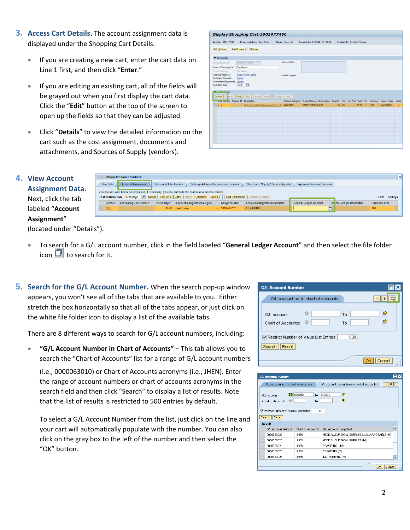- **3. Access Cart Details.** The account assignment data is displayed under the Shopping Cart Details.
	- If you are creating a new cart, enter the cart data on Line 1 first, and then click "**Enter**."
	- If you are editing an existing cart, all of the fields will be grayed out when you first display the cart data. Click the "**Edit**" button at the top of the screen to open up the fields so that they can be adjusted.
	- Click "**Details**" to view the detailed information on the cart such as the cost assignment, documents and attachments, and Sources of Supply (vendors).

|                                      | Display Shopping Cart:1001077480                                           |                  |                                                                           |       |                             |                 |                     |   |
|--------------------------------------|----------------------------------------------------------------------------|------------------|---------------------------------------------------------------------------|-------|-----------------------------|-----------------|---------------------|---|
| Number 1001077480                    | <b>Document Name</b> Copy Paper                                            | Status Approved  | Created On 04/13/2010 11:06:35                                            |       | Created By Christina Thomas |                 |                     |   |
| Edit Close Print Preview             | Refresh                                                                    |                  |                                                                           |       |                             |                 |                     |   |
| Canaral Data                         |                                                                            |                  |                                                                           |       |                             |                 |                     |   |
| Buy on Behalf Of:                    | Chratne Thamas                                                             | Approval Note    |                                                                           |       |                             |                 |                     |   |
| Name of Shopping Cart: Copy Paper    |                                                                            |                  |                                                                           |       |                             |                 |                     |   |
| Default Settmin<br>Approval Process: | <b>Set Values</b><br><b>Display / Edit Agents</b>                          |                  |                                                                           |       |                             |                 |                     |   |
| <b>Decument Changes:</b>             | Display                                                                    | Note to Supplier |                                                                           |       |                             |                 |                     |   |
| Commitment Documents: Display        |                                                                            |                  |                                                                           |       |                             |                 |                     |   |
|                                      |                                                                            |                  |                                                                           |       |                             |                 |                     |   |
| Document Type:                       | ECPO ICH                                                                   |                  |                                                                           |       |                             |                 |                     |   |
| W Rear Property W                    |                                                                            |                  |                                                                           |       |                             |                 |                     |   |
|                                      | Detain   A Hem .   Copy   Pastr   Duplicate   Detaile   Process Al Terra . |                  |                                                                           |       |                             |                 |                     |   |
|                                      | Low number. Product D. Description.                                        | Product Category | Product Category Description Cuantity Unit Net Price / Limit Per Currency |       |                             |                 | Delivery Date Notes |   |
| $\rightarrow$ 1                      | Office Depot(R) Multourpose Paper, 5 1/ 44000000                           |                  | OFFICE SUPP & EQUIP                                                       | 10 CV | 83.21                       | U <sub>5D</sub> | 04/18/2010          | o |
|                                      |                                                                            |                  |                                                                           |       |                             |                 |                     |   |
|                                      |                                                                            |                  |                                                                           |       |                             |                 |                     |   |
|                                      |                                                                            |                  |                                                                           |       |                             |                 |                     |   |
|                                      |                                                                            |                  |                                                                           |       |                             |                 |                     |   |
|                                      |                                                                            |                  |                                                                           |       |                             |                 |                     |   |
|                                      |                                                                            |                  |                                                                           |       |                             |                 |                     |   |
|                                      |                                                                            |                  |                                                                           |       |                             |                 |                     |   |

| <b>4. View Account</b>  |
|-------------------------|
| <b>Assignment Data.</b> |
| Next, click the tab     |
| labeled "Account        |
| Assignment"             |

|                                                                                                                                                                                                                                                    | Details for item 1 markers    |                       |                                       |  |                                 |                                       |                               |                             |                      | 図 |
|----------------------------------------------------------------------------------------------------------------------------------------------------------------------------------------------------------------------------------------------------|-------------------------------|-----------------------|---------------------------------------|--|---------------------------------|---------------------------------------|-------------------------------|-----------------------------|----------------------|---|
| <b>Item Data</b>                                                                                                                                                                                                                                   | <b>Account Assignment</b>     | Notes and Attachments | Delivery Address/Performance Location |  |                                 | Sources of Supply / Service Agents    | Approval Process Overview     |                             |                      |   |
| You can see who bears the costs and, if necessary, you can distribute the cost to several cost centres<br>Cost Distribution Percentage v Details Add Line Copy Paste Duplicate Delete<br>Split Distribution Change All Items<br>Settings<br>Filter |                               |                       |                                       |  |                                 |                                       |                               |                             |                      |   |
| Number                                                                                                                                                                                                                                             | <b>Accounting Line Number</b> | Percentage            | <b>Account Assignment Category</b>    |  | <b>Assign Number</b>            | <b>Account Assignment Description</b> | <b>General Ledger Account</b> | Ge leral Ledger Description | <b>Business Area</b> |   |
| 0001                                                                                                                                                                                                                                               |                               |                       | 100.00 Cost Center                    |  | $\blacktriangledown$ 1010289732 | <b>IT TRAINING</b>                    | ∟                             |                             | 101                  |   |
|                                                                                                                                                                                                                                                    |                               |                       |                                       |  |                                 |                                       |                               |                             |                      |   |

(located under "Details").

- To search for a G/L account number, click in the field labeled "**General Ledger Account**" and then select the file folder icon  $\Box$  to search for it.
- **5. Search for the G/L Account Number.** When the search pop‐up window appears, you won't see all of the tabs that are available to you. Either stretch the box horizontally so that all of the tabs appear, or just click on the white file folder icon to display a list of the available tabs.

There are 8 different ways to search for G/L account numbers, including:

• **"G/L Account Number in Chart of Accounts"** – This tab allows you to search the "Chart of Accounts" list for a range of G/L account numbers

(i.e., 0000063010) or Chart of Accounts acronyms (i.e., JHEN). Enter the range of account numbers or chart of accounts acronyms in the search field and then click "Search" to display a list of results. Note that the list of results is restricted to 500 entries by default.

To select a G/L Account Number from the list, just click on the line and your cart will automatically populate with the number. You can also click on the gray box to the left of the number and then select the "OK" button.

| <b>G/L Account Number</b>                                |               |
|----------------------------------------------------------|---------------|
| G/L account no, in chart of accounts.                    |               |
| G/L account:<br>Chart of Accounts:                       | Ф<br>To<br>To |
| Restrict Number of Value List Entries<br>Reset<br>Search | 500           |
|                                                          | Cancel        |

| <b>G/L Account Number</b>                                                                          |                   |                                              |  |  |  |  |
|----------------------------------------------------------------------------------------------------|-------------------|----------------------------------------------|--|--|--|--|
| G/L account no. in chart of accounts                                                               |                   | GAL account description in chart of accounts |  |  |  |  |
| ⇨<br>630000<br>640000<br>ш<br>To<br>GA, account:<br>$\Rightarrow$<br>◇<br>Chart of Accounts:<br>To |                   |                                              |  |  |  |  |
| Restrict Number of Value List Entries                                                              |                   | 500                                          |  |  |  |  |
| Search   Reset                                                                                     |                   |                                              |  |  |  |  |
| Result                                                                                             |                   |                                              |  |  |  |  |
| <b>G/L Account Number</b>                                                                          | Chart of Accounts | G/L Account Long Text                        |  |  |  |  |
| 0000630022                                                                                         | <b>JHFN</b>       | MEDICAL/SURGICAL SUPPLIES NONCHARGEABLE (M)  |  |  |  |  |
| 0000630023                                                                                         | <b>JHFN</b>       | MEDICAL/SURGICAL SUPPLIES (M)                |  |  |  |  |
| 0000630024                                                                                         | <b>JHFN</b>       | REAGENTS (NM)                                |  |  |  |  |
| 0000630025                                                                                         | <b>JHFN</b>       | REAGENTS (M)                                 |  |  |  |  |
| 0000630026                                                                                         | <b>JHEN</b>       | INSTRUMENTS (M)                              |  |  |  |  |
|                                                                                                    |                   | Cancel<br>OK                                 |  |  |  |  |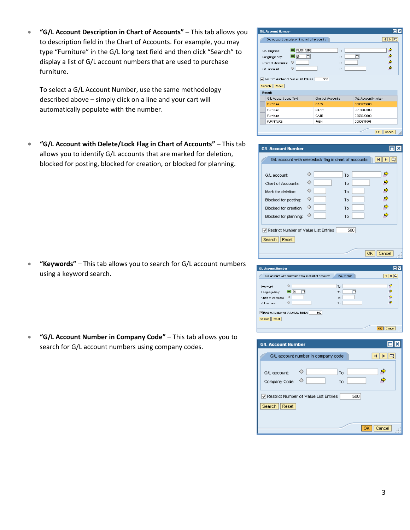• **"G/L Account Description in Chart of Accounts"** – This tab allows you to description field in the Chart of Accounts. For example, you may type "Furniture" in the G/L long text field and then click "Search" to display a list of G/L account numbers that are used to purchase furniture.

To select a G/L Account Number, use the same methodology described above – simply click on a line and your cart will automatically populate with the number.

• **"G/L Account with Delete/Lock Flag in Chart of Accounts"** – This tab allows you to identify G/L accounts that are marked for deletion, blocked for posting, blocked for creation, or blocked for planning.

• **"Keywords"** – This tab allows you to search for G/L account numbers using a keyword search.

• **"G/L Account Number in Company Code"** – This tab allows you to search for G/L account numbers using company codes.

| <b>G/L Account Number</b>                                             |                                             |                   |                      |                    | ⊡l×              |
|-----------------------------------------------------------------------|---------------------------------------------|-------------------|----------------------|--------------------|------------------|
| G/L account description in chart of accounts                          |                                             |                   |                      |                    | $M \Box$<br>кI   |
| G/L long text:<br>Language Key:<br>Chart of Accounts:<br>G/L account: | <b>=</b> FURNITURE<br>n<br>$=$ EN<br>◇<br>◇ |                   | To<br>To<br>To<br>To | 帀                  | ⇨<br>⇨<br>⇨<br>⇨ |
| Restrict Number of Value List Entries<br>Reset<br>Search              |                                             | 500               |                      |                    |                  |
| Result                                                                |                                             |                   |                      |                    |                  |
| G/L Account Long Text                                                 |                                             | Chart of Accounts |                      | G/L Account Number |                  |
| Furniture                                                             |                                             | CAES              |                      | 0000226000         |                  |
| Furniture                                                             |                                             | CAKR              |                      | 0016080100         |                  |
| Furniture                                                             |                                             | CATR              |                      | 0255020000         |                  |
| <b>FURNITURE</b>                                                      |                                             | JHEN              |                      | 0000631001         |                  |
|                                                                       |                                             |                   |                      | <b>OK</b>          | Cancel           |

| <b>G/L Account Number</b>                              |                                                        |                                                                                                                                                                                                                                                                                                                                                                                                                        |
|--------------------------------------------------------|--------------------------------------------------------|------------------------------------------------------------------------------------------------------------------------------------------------------------------------------------------------------------------------------------------------------------------------------------------------------------------------------------------------------------------------------------------------------------------------|
|                                                        | G/L account with delete/lock flag in chart of accounts |                                                                                                                                                                                                                                                                                                                                                                                                                        |
|                                                        |                                                        |                                                                                                                                                                                                                                                                                                                                                                                                                        |
| G/L account:                                           | ◇<br>To                                                |                                                                                                                                                                                                                                                                                                                                                                                                                        |
| Chart of Accounts:                                     | ◇<br>To                                                |                                                                                                                                                                                                                                                                                                                                                                                                                        |
| Mark for deletion:                                     | ◇<br>To                                                |                                                                                                                                                                                                                                                                                                                                                                                                                        |
| Blocked for posting:                                   | ◇<br>To                                                | ф                                                                                                                                                                                                                                                                                                                                                                                                                      |
| Blocked for creation:                                  | ◇<br>To                                                |                                                                                                                                                                                                                                                                                                                                                                                                                        |
| Blocked for planning:                                  | ◇<br>To                                                |                                                                                                                                                                                                                                                                                                                                                                                                                        |
|                                                        |                                                        |                                                                                                                                                                                                                                                                                                                                                                                                                        |
| Restrict Number of Value List Entries                  | 500                                                    |                                                                                                                                                                                                                                                                                                                                                                                                                        |
| Reset<br>Search                                        |                                                        |                                                                                                                                                                                                                                                                                                                                                                                                                        |
|                                                        |                                                        |                                                                                                                                                                                                                                                                                                                                                                                                                        |
|                                                        |                                                        | Cancel<br>OK                                                                                                                                                                                                                                                                                                                                                                                                           |
|                                                        |                                                        |                                                                                                                                                                                                                                                                                                                                                                                                                        |
| A. Account Number                                      |                                                        | olx                                                                                                                                                                                                                                                                                                                                                                                                                    |
| GA, account with delete/lock flag in chart of accounts | Key words                                              | $\mathbb{E}[\mathbb{E}[\mathbb{E}[\mathbb{E}[\mathbb{E}[\mathbb{E}[\mathbb{E}[\mathbb{E}[\mathbb{E}[\mathbb{E}[\mathbb{E}[\mathbb{E}[\mathbb{E}[\mathbb{E}[\mathbb{E}[\mathbb{E}[\mathbb{E}[\mathbb{E}[\mathbb{E}[\mathbb{E}[\mathbb{E}[\mathbb{E}[\mathbb{E}[\mathbb{E}[\mathbb{E}[\mathbb{E}[\mathbb{E}[\mathbb{E}[\mathbb{E}[\mathbb{E}[\mathbb{E}[\mathbb{E}[\mathbb{E}[\mathbb{E}[\mathbb{E}[\mathbb{E}[\mathbb{$ |
| ♦<br>Keyword:                                          | To                                                     | $\Rightarrow$                                                                                                                                                                                                                                                                                                                                                                                                          |
| n<br>$=$ EN<br>Language Key:                           | o<br>To                                                | ⇨                                                                                                                                                                                                                                                                                                                                                                                                                      |
| ♦<br>Chart of Accounts:                                | To                                                     | ф                                                                                                                                                                                                                                                                                                                                                                                                                      |

To I

| <b>G/L Account Number</b>                                | Ы      |
|----------------------------------------------------------|--------|
| GAL account number in company code                       |        |
| ◇<br>To<br>G/L account:<br>◇<br>Company Code:<br>To      |        |
| Restrict Number of Value List Entries<br>Reset<br>Search | 500    |
|                                                          | Cancel |

GA, account:

Search Reset

 $\Diamond$ 

Restrict Number of Value List Entries [1860]

OK Cancel